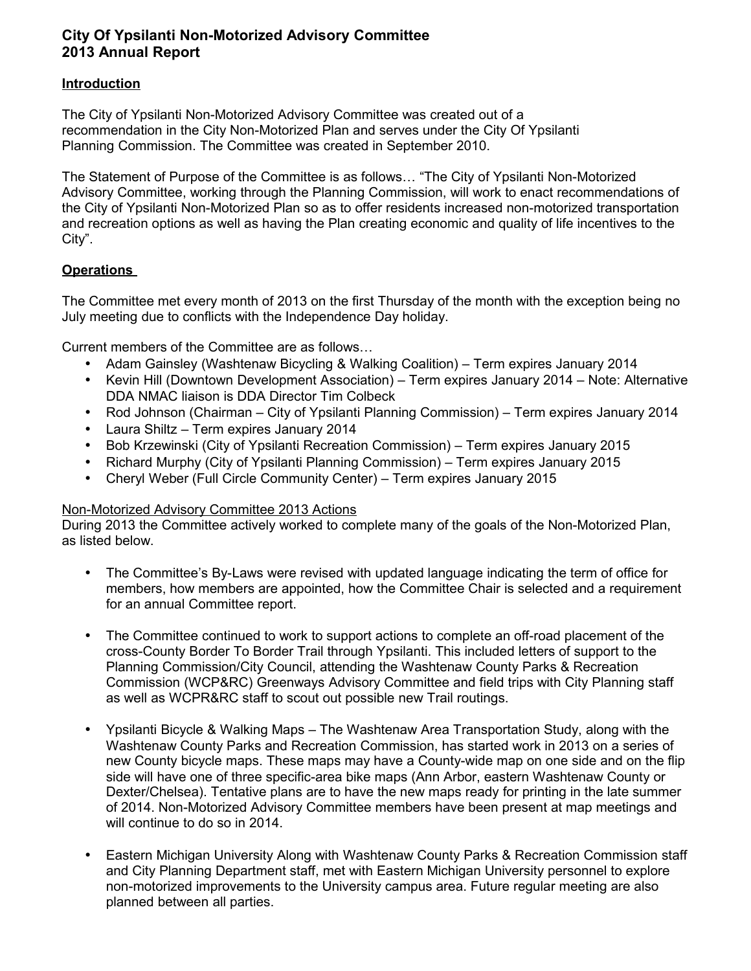## **City Of Ypsilanti Non-Motorized Advisory Committee 2013 Annual Report**

## **Introduction**

The City of Ypsilanti Non-Motorized Advisory Committee was created out of a recommendation in the City Non-Motorized Plan and serves under the City Of Ypsilanti Planning Commission. The Committee was created in September 2010.

The Statement of Purpose of the Committee is as follows… "The City of Ypsilanti Non-Motorized Advisory Committee, working through the Planning Commission, will work to enact recommendations of the City of Ypsilanti Non-Motorized Plan so as to offer residents increased non-motorized transportation and recreation options as well as having the Plan creating economic and quality of life incentives to the City".

## **Operations**

The Committee met every month of 2013 on the first Thursday of the month with the exception being no July meeting due to conflicts with the Independence Day holiday.

Current members of the Committee are as follows…

- Adam Gainsley (Washtenaw Bicycling & Walking Coalition) Term expires January 2014
- Kevin Hill (Downtown Development Association) Term expires January 2014 Note: Alternative DDA NMAC liaison is DDA Director Tim Colbeck
- Rod Johnson (Chairman City of Ypsilanti Planning Commission) Term expires January 2014
- Laura Shiltz Term expires January 2014
- Bob Krzewinski (City of Ypsilanti Recreation Commission) Term expires January 2015
- Richard Murphy (City of Ypsilanti Planning Commission) Term expires January 2015
- Cheryl Weber (Full Circle Community Center) Term expires January 2015

## Non-Motorized Advisory Committee 2013 Actions

During 2013 the Committee actively worked to complete many of the goals of the Non-Motorized Plan, as listed below.

- The Committee's By-Laws were revised with updated language indicating the term of office for members, how members are appointed, how the Committee Chair is selected and a requirement for an annual Committee report.
- The Committee continued to work to support actions to complete an off-road placement of the cross-County Border To Border Trail through Ypsilanti. This included letters of support to the Planning Commission/City Council, attending the Washtenaw County Parks & Recreation Commission (WCP&RC) Greenways Advisory Committee and field trips with City Planning staff as well as WCPR&RC staff to scout out possible new Trail routings.
- Ypsilanti Bicycle & Walking Maps The Washtenaw Area Transportation Study, along with the Washtenaw County Parks and Recreation Commission, has started work in 2013 on a series of new County bicycle maps. These maps may have a County-wide map on one side and on the flip side will have one of three specific-area bike maps (Ann Arbor, eastern Washtenaw County or Dexter/Chelsea). Tentative plans are to have the new maps ready for printing in the late summer of 2014. Non-Motorized Advisory Committee members have been present at map meetings and will continue to do so in 2014.
- Eastern Michigan University Along with Washtenaw County Parks & Recreation Commission staff and City Planning Department staff, met with Eastern Michigan University personnel to explore non-motorized improvements to the University campus area. Future regular meeting are also planned between all parties.